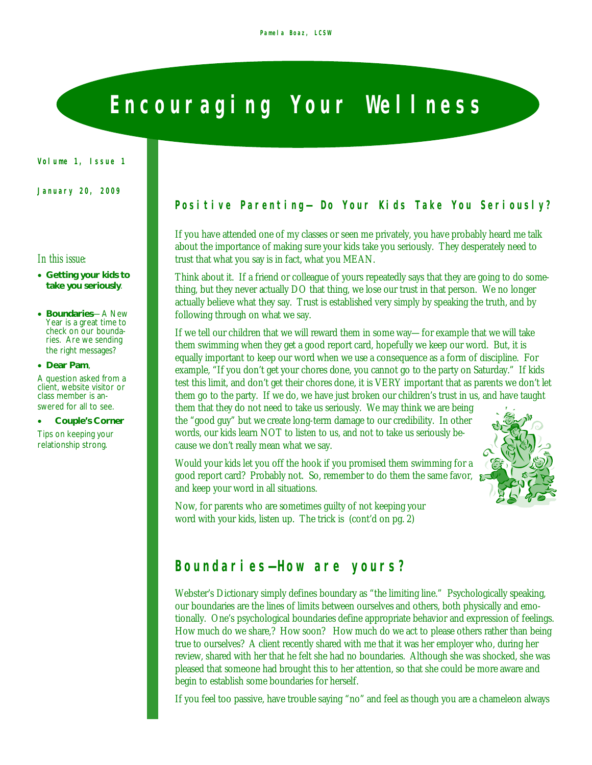# **Encouraging Your Wellness**

**Volume 1, Issue 1**

**January 20, 2009**

#### *In this issue:*

- **Getting your kids to take you seriously**.
- **Boundaries**—A New Year is a great time to check on our boundaries. Are we sending the right messages?
- **Dear Pam**,

A question asked from a client, website visitor or class member is answered for all to see.

**Couple's Corner**

Tips on keeping your relationship strong.

### **Positive Parenting—** *Do Your Kids Take You Seriously?*

If you have attended one of my classes or seen me privately, you have probably heard me talk about the importance of making sure your kids take you seriously. They desperately need to trust that what you say is in fact, what you MEAN.

Think about it. If a friend or colleague of yours repeatedly says that they are going to do something, but they never actually DO that thing, we lose our trust in that person. We no longer actually believe what they say. Trust is established very simply by speaking the truth, and by following through on what we say.

If we tell our children that we will reward them in some way—for example that we will take them swimming when they get a good report card, hopefully we keep our word. But, it is equally important to keep our word when we use a consequence as a form of discipline. For example, "If you don't get your chores done, you cannot go to the party on Saturday." If kids test this limit, and don't get their chores done, it is VERY important that as parents we don't let them go to the party. If we do, we have just broken our children's trust in us, and have taught

them that they do not need to take us seriously. We may think we are being the "good guy" but we create long-term damage to our credibility. In other words, our kids learn NOT to listen to us, and not to take us seriously because we don't really mean what we say.

Would your kids let you off the hook if you promised them swimming for a good report card? Probably not. So, remember to do them the same favor, and keep your word in all situations.



Now, for parents who are sometimes guilty of not keeping your word with your kids, listen up. The trick is (cont'd on pg. 2)

### **Boundaries—How are yours?**

Webster's Dictionary simply defines boundary as "the limiting line." Psychologically speaking, our boundaries are the lines of limits between ourselves and others, both physically and emotionally. One's psychological boundaries define appropriate behavior and expression of feelings. How much do we share,? How soon? How much do we act to please others rather than being true to ourselves? A client recently shared with me that it was her employer who, during her review, shared with her that he felt she had no boundaries. Although she was shocked, she was pleased that someone had brought this to her attention, so that she could be more aware and begin to establish some boundaries for herself.

If you feel too passive, have trouble saying "no" and feel as though you are a chameleon always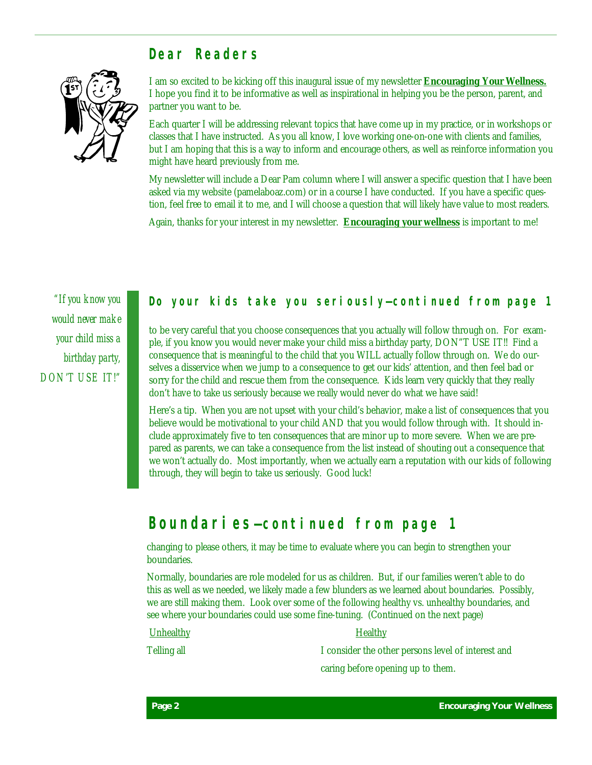### **Dear Readers**



I am so excited to be kicking off this inaugural issue of my newsletter **Encouraging Your Wellness.**  I hope you find it to be informative as well as inspirational in helping you be the person, parent, and partner you want to be.

Each quarter I will be addressing relevant topics that have come up in my practice, or in workshops or classes that I have instructed. As you all know, I love working one-on-one with clients and families, but I am hoping that this is a way to inform and encourage others, as well as reinforce information you might have heard previously from me.

My newsletter will include a Dear Pam column where I will answer a specific question that I have been asked via my website (pamelaboaz.com) or in a course I have conducted. If you have a specific question, feel free to email it to me, and I will choose a question that will likely have value to most readers.

Again, thanks for your interest in my newsletter. **Encouraging your wellness** is important to me!

*"If you know you would never make your child miss a birthday party, DON'T USE IT!"* 

### *Do your kids take you seriously***—continued from page 1**

to be very careful that you choose consequences that you actually will follow through on. For example, if you know you would never make your child miss a birthday party, DON"T USE IT!! Find a consequence that is meaningful to the child that you WILL actually follow through on. We do ourselves a disservice when we jump to a consequence to get our kids' attention, and then feel bad or sorry for the child and rescue them from the consequence. Kids learn very quickly that they really don't have to take us seriously because we really would never do what we have said!

Here's a tip. When you are not upset with your child's behavior, make a list of consequences that you believe would be motivational to your child AND that you would follow through with. It should include approximately five to ten consequences that are minor up to more severe. When we are prepared as parents, we can take a consequence from the list instead of shouting out a consequence that we won't actually do. Most importantly, when we actually earn a reputation with our kids of following through, they will begin to take us seriously. Good luck!

### **Boundaries—continued from page 1**

changing to please others, it may be time to evaluate where you can begin to strengthen your boundaries.

Normally, boundaries are role modeled for us as children. But, if our families weren't able to do this as well as we needed, we likely made a few blunders as we learned about boundaries. Possibly, we are still making them. Look over some of the following healthy vs. unhealthy boundaries, and see where your boundaries could use some fine-tuning. (Continued on the next page)

#### Unhealthy **Healthy**

Telling all **I** consider the other persons level of interest and caring before opening up to them.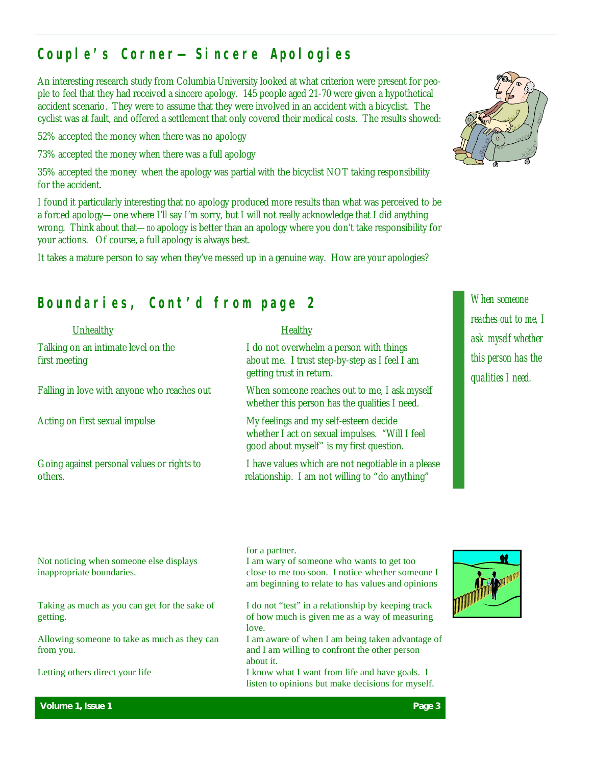## **Couple's Corner— Sincere Apologies**

An interesting research study from Columbia University looked at what criterion were present for people to feel that they had received a sincere apology. 145 people aged 21-70 were given a hypothetical accident scenario. They were to assume that they were involved in an accident with a bicyclist. The cyclist was at fault, and offered a settlement that only covered their medical costs. The results showed:

52% accepted the money when there was no apology

73% accepted the money when there was a full apology

35% accepted the money when the apology was partial with the bicyclist NOT taking responsibility for the accident.

I found it particularly interesting that no apology produced more results than what was perceived to be a forced apology—one where I'll say I'm sorry, but I will not really acknowledge that I did anything wrong. Think about that—*no* apology is better than an apology where you don't take responsibility for your actions. Of course, a full apology is always best.

It takes a mature person to say when they've messed up in a genuine way. How are your apologies?

## **Boundaries, Cont'd from page 2** *When someone*

### Unhealthy Healthy

Falling in love with anyone who reaches out When someone reaches out to me, I ask myself



whether this person has the qualities I need.

Acting on first sexual impulse My feelings and my self-esteem decide whether I act on sexual impulses. "Will I feel good about myself" is my first question.

Going against personal values or rights to I have values which are not negotiable in a please others. relationship. I am not willing to "do anything"

listen to opinions but make decisions for myself.



*reaches out to me, I ask myself whether this person has the qualities I need.* 

| Not noticing when someone else displays<br>inappropriate boundaries. | for a partner.<br>I am wary of someone who wants to get too<br>close to me too soon. I notice whether someone I<br>am beginning to relate to has values and opinions |  |
|----------------------------------------------------------------------|----------------------------------------------------------------------------------------------------------------------------------------------------------------------|--|
| Taking as much as you can get for the sake of<br>getting.            | I do not "test" in a relationship by keeping track<br>of how much is given me as a way of measuring<br>love.                                                         |  |
| Allowing someone to take as much as they can<br>from you.            | I am aware of when I am being taken advantage of<br>and I am willing to confront the other person<br>about it.                                                       |  |
| Letting others direct your life                                      | I know what I want from life and have goals. I                                                                                                                       |  |



**Volume 1, Issue 1 Page 3**